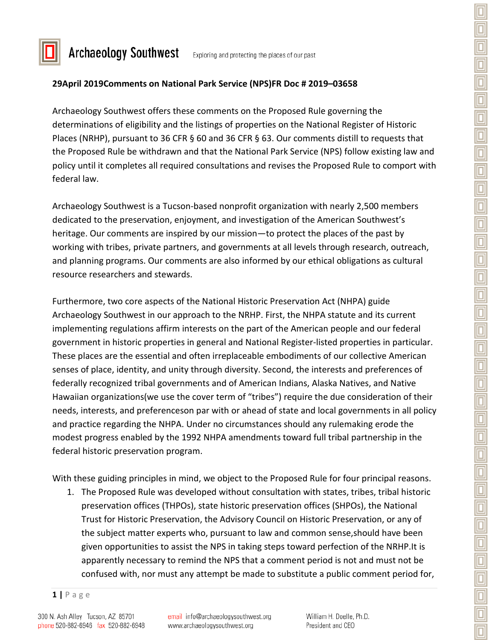

**Archaeology Southwest** 

Exploring and protecting the places of our past

## **29April 2019Comments on National Park Service (NPS)FR Doc # 2019–03658**

Archaeology Southwest offers these comments on the Proposed Rule governing the determinations of eligibility and the listings of properties on the National Register of Historic Places (NRHP), pursuant to 36 CFR § 60 and 36 CFR § 63. Our comments distill to requests that the Proposed Rule be withdrawn and that the National Park Service (NPS) follow existing law and policy until it completes all required consultations and revises the Proposed Rule to comport with federal law.

Archaeology Southwest is a Tucson-based nonprofit organization with nearly 2,500 members dedicated to the preservation, enjoyment, and investigation of the American Southwest's heritage. Our comments are inspired by our mission—to protect the places of the past by working with tribes, private partners, and governments at all levels through research, outreach, and planning programs. Our comments are also informed by our ethical obligations as cultural resource researchers and stewards.

Furthermore, two core aspects of the National Historic Preservation Act (NHPA) guide Archaeology Southwest in our approach to the NRHP. First, the NHPA statute and its current implementing regulations affirm interests on the part of the American people and our federal government in historic properties in general and National Register-listed properties in particular. These places are the essential and often irreplaceable embodiments of our collective American senses of place, identity, and unity through diversity. Second, the interests and preferences of federally recognized tribal governments and of American Indians, Alaska Natives, and Native Hawaiian organizations(we use the cover term of "tribes") require the due consideration of their needs, interests, and preferenceson par with or ahead of state and local governments in all policy and practice regarding the NHPA. Under no circumstances should any rulemaking erode the modest progress enabled by the 1992 NHPA amendments toward full tribal partnership in the federal historic preservation program.

With these guiding principles in mind, we object to the Proposed Rule for four principal reasons.

1. The Proposed Rule was developed without consultation with states, tribes, tribal historic preservation offices (THPOs), state historic preservation offices (SHPOs), the National Trust for Historic Preservation, the Advisory Council on Historic Preservation, or any of the subject matter experts who, pursuant to law and common sense,should have been given opportunities to assist the NPS in taking steps toward perfection of the NRHP.It is apparently necessary to remind the NPS that a comment period is not and must not be confused with, nor must any attempt be made to substitute a public comment period for,

**<sup>1</sup> |** Page